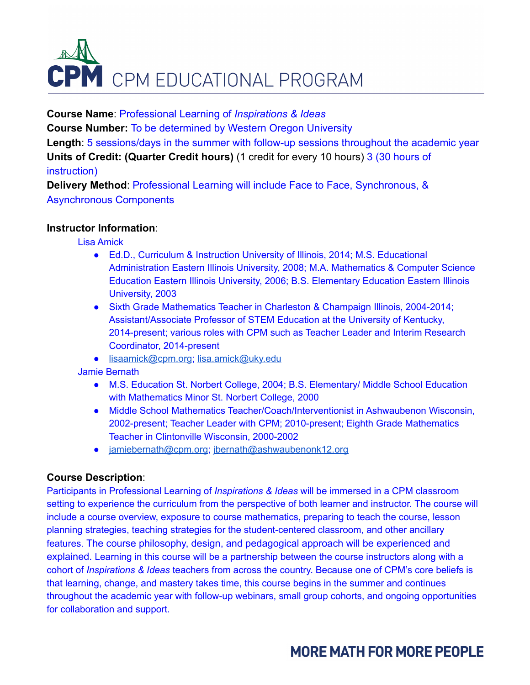# **CPM** CPM EDUCATIONAL PROGRAM

**Course Name**: Professional Learning of *Inspirations & Ideas* **Course Number:** To be determined by Western Oregon University **Length**: 5 sessions/days in the summer with follow-up sessions throughout the academic year **Units of Credit: (Quarter Credit hours)** (1 credit for every 10 hours) 3 (30 hours of instruction)

**Delivery Method**: Professional Learning will include Face to Face, Synchronous, & Asynchronous Components

# **Instructor Information**:

Lisa Amick

- Ed.D., Curriculum & Instruction University of Illinois, 2014; M.S. Educational Administration Eastern Illinois University, 2008; M.A. Mathematics & Computer Science Education Eastern Illinois University, 2006; B.S. Elementary Education Eastern Illinois University, 2003
- Sixth Grade Mathematics Teacher in Charleston & Champaign Illinois, 2004-2014; Assistant/Associate Professor of STEM Education at the University of Kentucky, 2014-present; various roles with CPM such as Teacher Leader and Interim Research Coordinator, 2014-present
- [lisaamick@cpm.org](mailto:lisaamick@cpm.org); [lisa.amick@uky.edu](mailto:lisa.amick@uky.edu)

Jamie Bernath

- M.S. Education St. Norbert College, 2004; B.S. Elementary/ Middle School Education with Mathematics Minor St. Norbert College, 2000
- Middle School Mathematics Teacher/Coach/Interventionist in Ashwaubenon Wisconsin, 2002-present; Teacher Leader with CPM; 2010-present; Eighth Grade Mathematics Teacher in Clintonville Wisconsin, 2000-2002
- [jamiebernath@cpm.org](mailto:jamiebernath@cpm.org); [jbernath@ashwaubenonk12.org](mailto:jbernath@ashwaubenonk12.org)

#### **Course Description**:

Participants in Professional Learning of *Inspirations & Ideas* will be immersed in a CPM classroom setting to experience the curriculum from the perspective of both learner and instructor. The course will include a course overview, exposure to course mathematics, preparing to teach the course, lesson planning strategies, teaching strategies for the student-centered classroom, and other ancillary features. The course philosophy, design, and pedagogical approach will be experienced and explained. Learning in this course will be a partnership between the course instructors along with a cohort of *Inspirations & Ideas* teachers from across the country. Because one of CPM's core beliefs is that learning, change, and mastery takes time, this course begins in the summer and continues throughout the academic year with follow-up webinars, small group cohorts, and ongoing opportunities for collaboration and support.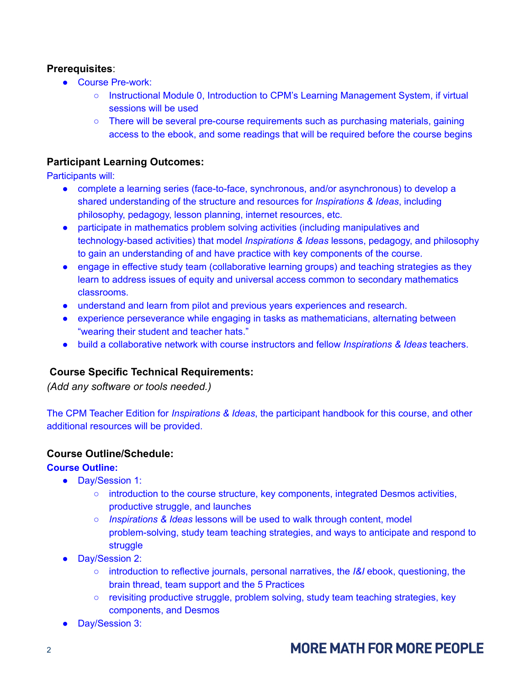## **Prerequisites**:

- Course Pre-work:
	- Instructional Module 0, Introduction to CPM's Learning Management System, if virtual sessions will be used
	- There will be several pre-course requirements such as purchasing materials, gaining access to the ebook, and some readings that will be required before the course begins

## **Participant Learning Outcomes:**

Participants will:

- complete a learning series (face-to-face, synchronous, and/or asynchronous) to develop a shared understanding of the structure and resources for *Inspirations & Ideas*, including philosophy, pedagogy, lesson planning, internet resources, etc.
- participate in mathematics problem solving activities (including manipulatives and technology-based activities) that model *Inspirations & Ideas* lessons, pedagogy, and philosophy to gain an understanding of and have practice with key components of the course.
- engage in effective study team (collaborative learning groups) and teaching strategies as they learn to address issues of equity and universal access common to secondary mathematics classrooms.
- understand and learn from pilot and previous years experiences and research.
- experience perseverance while engaging in tasks as mathematicians, alternating between "wearing their student and teacher hats."
- build a collaborative network with course instructors and fellow *Inspirations & Ideas* teachers.

#### **Course Specific Technical Requirements:**

*(Add any software or tools needed.)*

The CPM Teacher Edition for *Inspirations & Ideas*, the participant handbook for this course, and other additional resources will be provided.

#### **Course Outline/Schedule:**

#### **Course Outline:**

- Day/Session 1:
	- introduction to the course structure, key components, integrated Desmos activities, productive struggle, and launches
	- *Inspirations & Ideas* lessons will be used to walk through content, model problem-solving, study team teaching strategies, and ways to anticipate and respond to struggle
- Day/Session 2:
	- introduction to reflective journals, personal narratives, the *I&I* ebook, questioning, the brain thread, team support and the 5 Practices
	- revisiting productive struggle, problem solving, study team teaching strategies, key components, and Desmos
- Day/Session 3: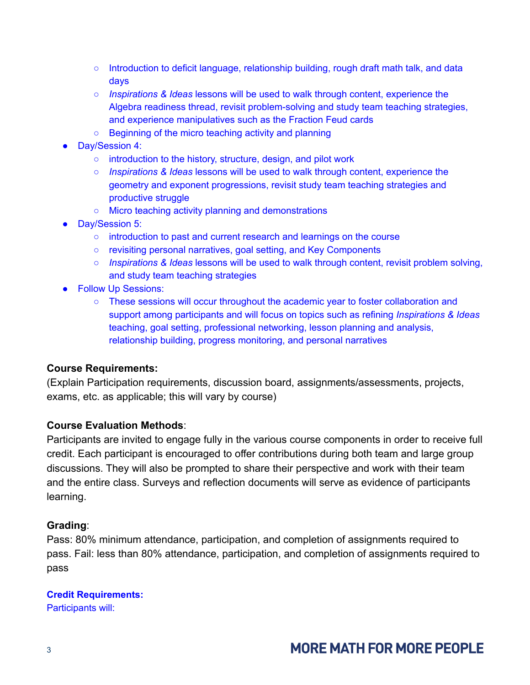- $\circ$  Introduction to deficit language, relationship building, rough draft math talk, and data days
- *Inspirations & Ideas* lessons will be used to walk through content, experience the Algebra readiness thread, revisit problem-solving and study team teaching strategies, and experience manipulatives such as the Fraction Feud cards
- Beginning of the micro teaching activity and planning
- Day/Session 4:
	- introduction to the history, structure, design, and pilot work
	- *Inspirations & Ideas* lessons will be used to walk through content, experience the geometry and exponent progressions, revisit study team teaching strategies and productive struggle
	- Micro teaching activity planning and demonstrations
- Day/Session 5:
	- introduction to past and current research and learnings on the course
	- revisiting personal narratives, goal setting, and Key Components
	- *Inspirations & Ideas* lessons will be used to walk through content, revisit problem solving, and study team teaching strategies
- Follow Up Sessions:
	- These sessions will occur throughout the academic year to foster collaboration and support among participants and will focus on topics such as refining *Inspirations & Ideas* teaching, goal setting, professional networking, lesson planning and analysis, relationship building, progress monitoring, and personal narratives

# **Course Requirements:**

(Explain Participation requirements, discussion board, assignments/assessments, projects, exams, etc. as applicable; this will vary by course)

# **Course Evaluation Methods**:

Participants are invited to engage fully in the various course components in order to receive full credit. Each participant is encouraged to offer contributions during both team and large group discussions. They will also be prompted to share their perspective and work with their team and the entire class. Surveys and reflection documents will serve as evidence of participants learning.

# **Grading**:

Pass: 80% minimum attendance, participation, and completion of assignments required to pass. Fail: less than 80% attendance, participation, and completion of assignments required to pass

# **Credit Requirements:**

Participants will: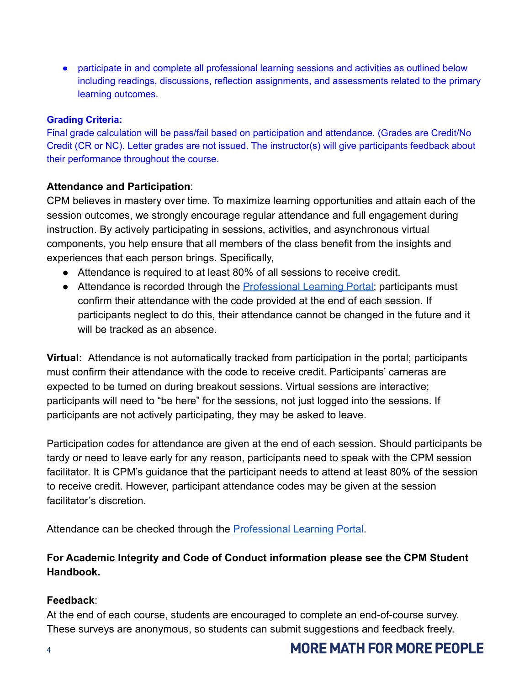• participate in and complete all professional learning sessions and activities as outlined below including readings, discussions, reflection assignments, and assessments related to the primary learning outcomes.

### **Grading Criteria:**

Final grade calculation will be pass/fail based on participation and attendance. (Grades are Credit/No Credit (CR or NC). Letter grades are not issued. The instructor(s) will give participants feedback about their performance throughout the course.

## **Attendance and Participation**:

CPM believes in mastery over time. To maximize learning opportunities and attain each of the session outcomes, we strongly encourage regular attendance and full engagement during instruction. By actively participating in sessions, activities, and asynchronous virtual components, you help ensure that all members of the class benefit from the insights and experiences that each person brings. Specifically,

- Attendance is required to at least 80% of all sessions to receive credit.
- Attendance is recorded through the [Professional Learning](https://professionallearning.cpm.org) Portal; participants must confirm their attendance with the code provided at the end of each session. If participants neglect to do this, their attendance cannot be changed in the future and it will be tracked as an absence.

**Virtual:** Attendance is not automatically tracked from participation in the portal; participants must confirm their attendance with the code to receive credit. Participants' cameras are expected to be turned on during breakout sessions. Virtual sessions are interactive; participants will need to "be here" for the sessions, not just logged into the sessions. If participants are not actively participating, they may be asked to leave.

Participation codes for attendance are given at the end of each session. Should participants be tardy or need to leave early for any reason, participants need to speak with the CPM session facilitator. It is CPM's guidance that the participant needs to attend at least 80% of the session to receive credit. However, participant attendance codes may be given at the session facilitator's discretion.

Attendance can be checked through the Professional [Learning Portal](https://professionallearning.cpm.org/).

**For Academic Integrity and Code of Conduct information please see the CPM Student Handbook.**

# **Feedback**:

At the end of each course, students are encouraged to complete an end-of-course survey. These surveys are anonymous, so students can submit suggestions and feedback freely.